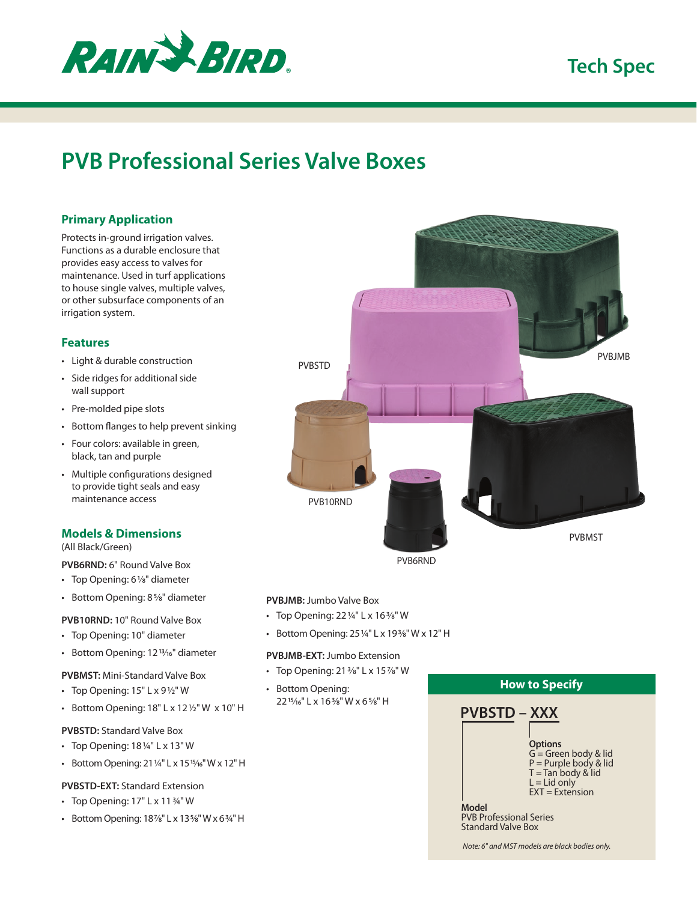

## **Tech Spec**

# **PVB Professional Series Valve Boxes**

## **Primary Application**

Protects in-ground irrigation valves. Functions as a durable enclosure that provides easy access to valves for maintenance. Used in turf applications to house single valves, multiple valves, or other subsurface components of an irrigation system.

### **Features**

- Light & durable construction
- Side ridges for additional side wall support
- Pre-molded pipe slots
- Bottom flanges to help prevent sinking
- Four colors: available in green, black, tan and purple
- Multiple configurations designed to provide tight seals and easy maintenance access

## **Models & Dimensions**

(All Black/Green)

**PVB6RND:** 6" Round Valve Box

- Top Opening: 61/8" diameter
- Bottom Opening: 85⁄8" diameter

## **PVB10RND:** 10" Round Valve Box

- Top Opening: 10" diameter
- Bottom Opening: 12<sup>13/16</sup>" diameter
- **PVBMST:** Mini-Standard Valve Box
- Top Opening:  $15" L x 9½" W$
- Bottom Opening: 18" L x 12½" W x 10" H

#### **PVBSTD:** Standard Valve Box

- Top Opening: 18¼" L x 13" W
- Bottom Opening: 21¼" L x 1515⁄16" W x 12" H

#### **PVBSTD-EXT:** Standard Extension

- Top Opening: 17" L x 11¾" W
- Bottom Opening: 187⁄8" L x 135⁄8" W x 6¾" H



PVB6RND

#### **PVBJMB:** Jumbo Valve Box

- Top Opening: 22¼" L x 163⁄8" W
- Bottom Opening: 25¼" L x 193⁄8" W x 12" H

#### **PVBJMB-EXT:** Jumbo Extension

- Top Opening:  $21\frac{3}{8}$ " L x  $15\frac{7}{8}$ " W
- Bottom Opening: 2215⁄16" L x 163⁄8" W x 65⁄8" H